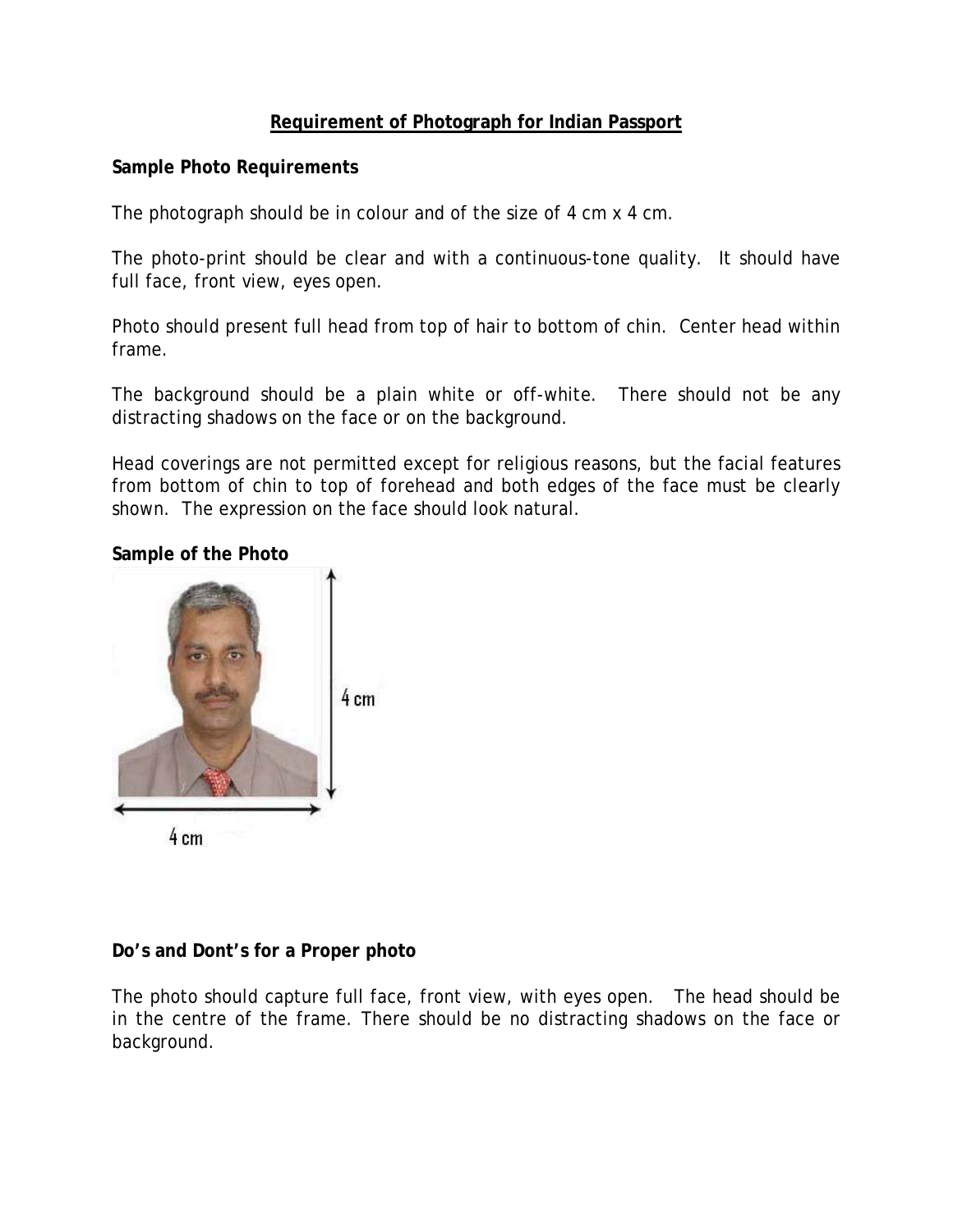## **Requirement of Photograph for Indian Passport**

## **Sample Photo Requirements**

The photograph should be in colour and of the size of 4 cm x 4 cm.

The photo-print should be clear and with a continuous-tone quality. It should have full face, front view, eyes open.

Photo should present full head from top of hair to bottom of chin. Center head within frame.

The background should be a plain white or off-white. There should not be any distracting shadows on the face or on the background.

Head coverings are not permitted except for religious reasons, but the facial features from bottom of chin to top of forehead and both edges of the face must be clearly shown. The expression on the face should look natural.

## **Sample of the Photo**



### **Do's and Dont's for a Proper photo**

The photo should capture full face, front view, with eyes open. The head should be in the centre of the frame. There should be no distracting shadows on the face or background.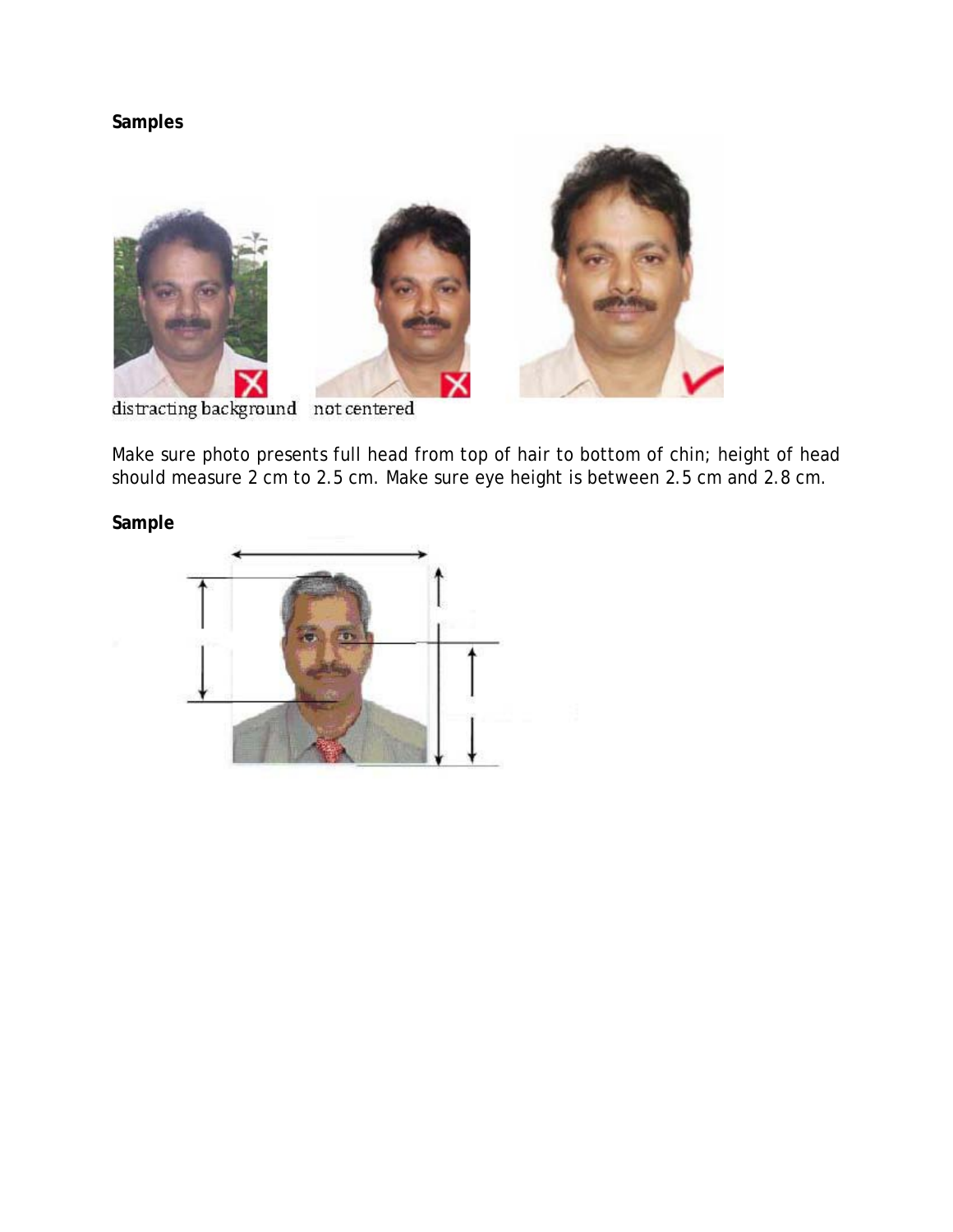# **Samples**



distracting background not centered

Make sure photo presents full head from top of hair to bottom of chin; height of head should measure 2 cm to 2.5 cm. Make sure eye height is between 2.5 cm and 2.8 cm.

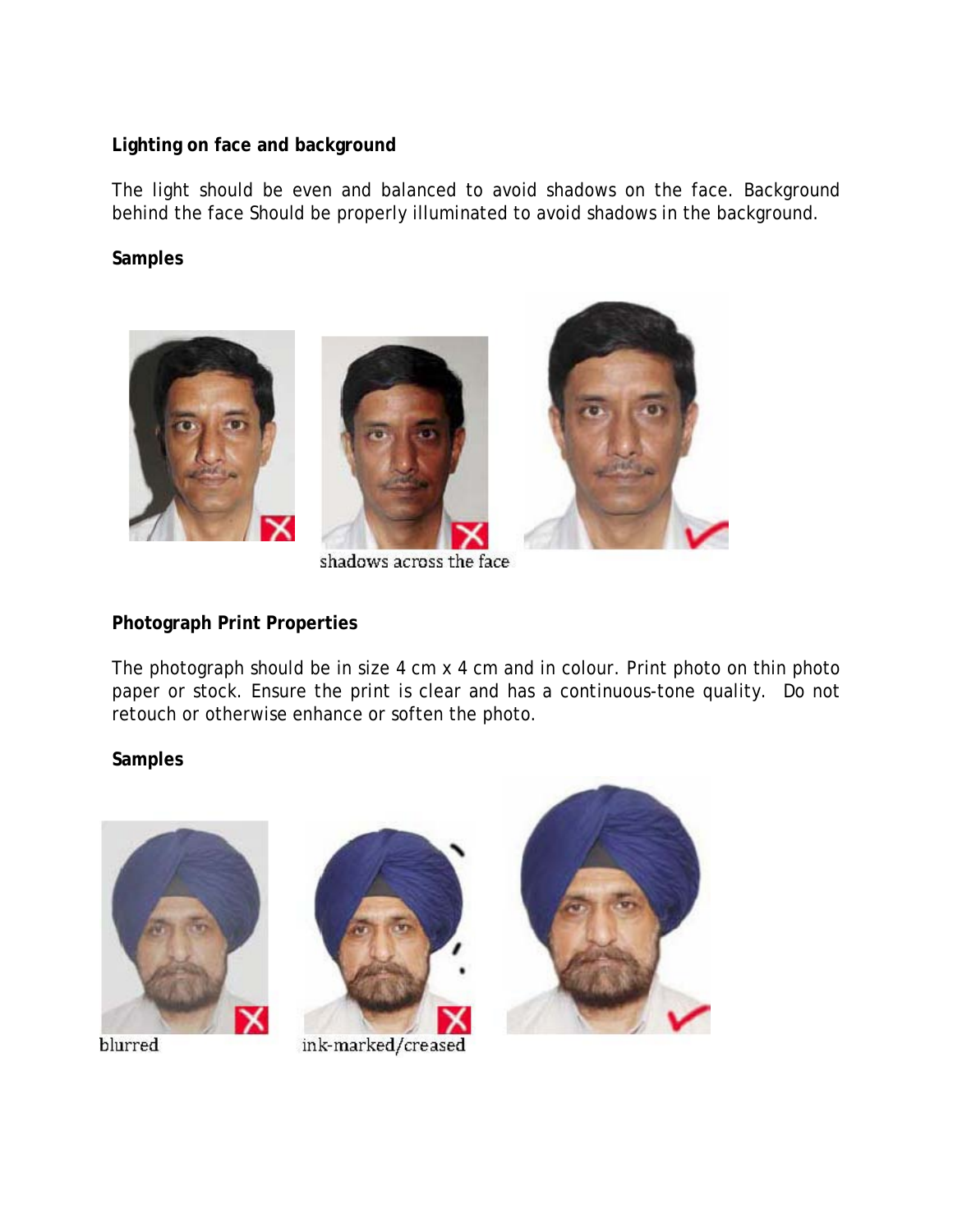## **Lighting on face and background**

The light should be even and balanced to avoid shadows on the face. Background behind the face Should be properly illuminated to avoid shadows in the background.

## **Samples**



shadows across the face

### **Photograph Print Properties**

The photograph should be in size 4 cm x 4 cm and in colour. Print photo on thin photo paper or stock. Ensure the print is clear and has a continuous-tone quality. Do not retouch or otherwise enhance or soften the photo.



blurred



ink-marked/creased

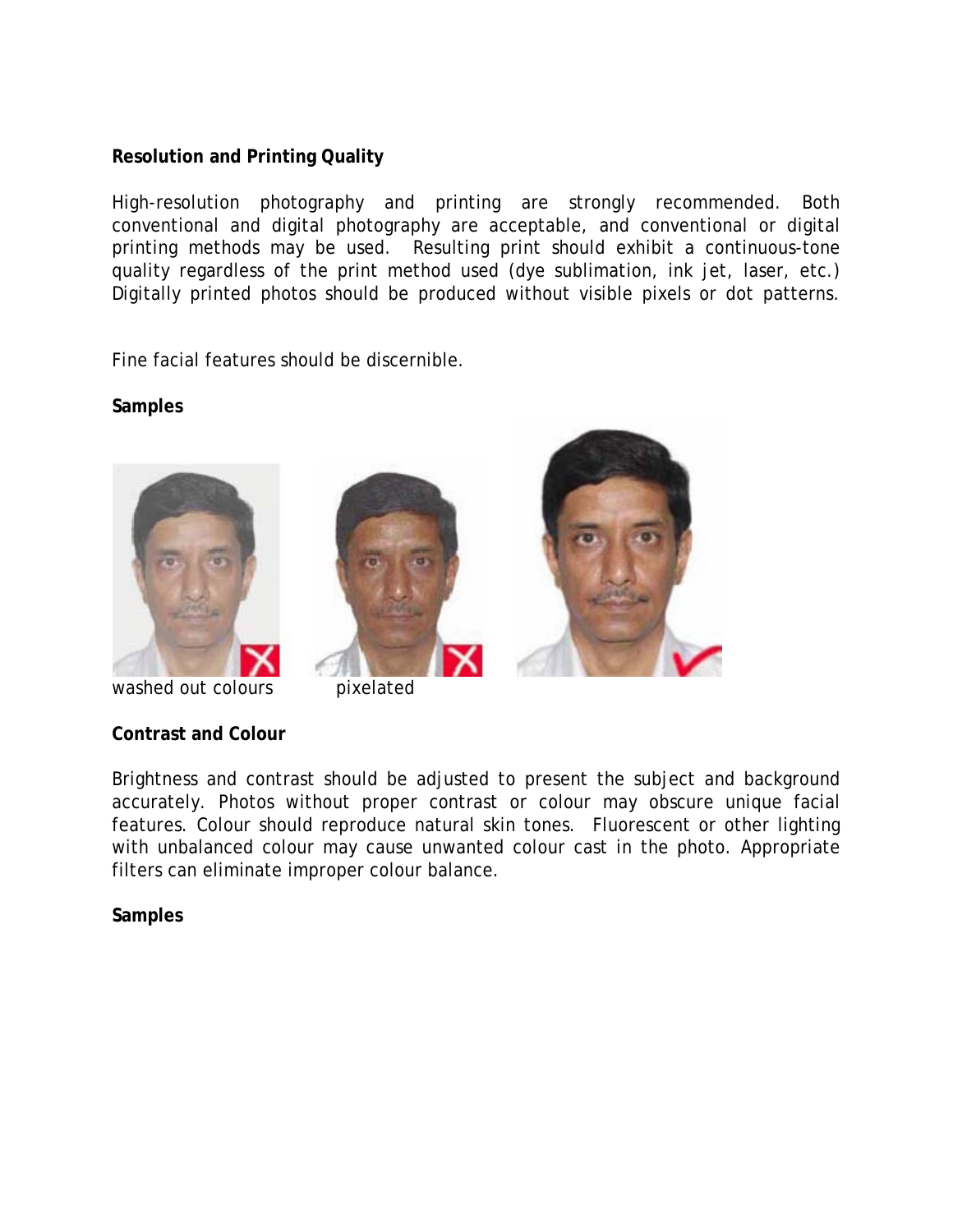## **Resolution and Printing Quality**

High-resolution photography and printing are strongly recommended. Both conventional and digital photography are acceptable, and conventional or digital printing methods may be used. Resulting print should exhibit a continuous-tone quality regardless of the print method used (dye sublimation, ink jet, laser, etc.) Digitally printed photos should be produced without visible pixels or dot patterns.

Fine facial features should be discernible.

#### **Samples**



washed out colours **pixelated** 

### **Contrast and Colour**





Brightness and contrast should be adjusted to present the subject and background accurately. Photos without proper contrast or colour may obscure unique facial features. Colour should reproduce natural skin tones. Fluorescent or other lighting with unbalanced colour may cause unwanted colour cast in the photo. Appropriate filters can eliminate improper colour balance.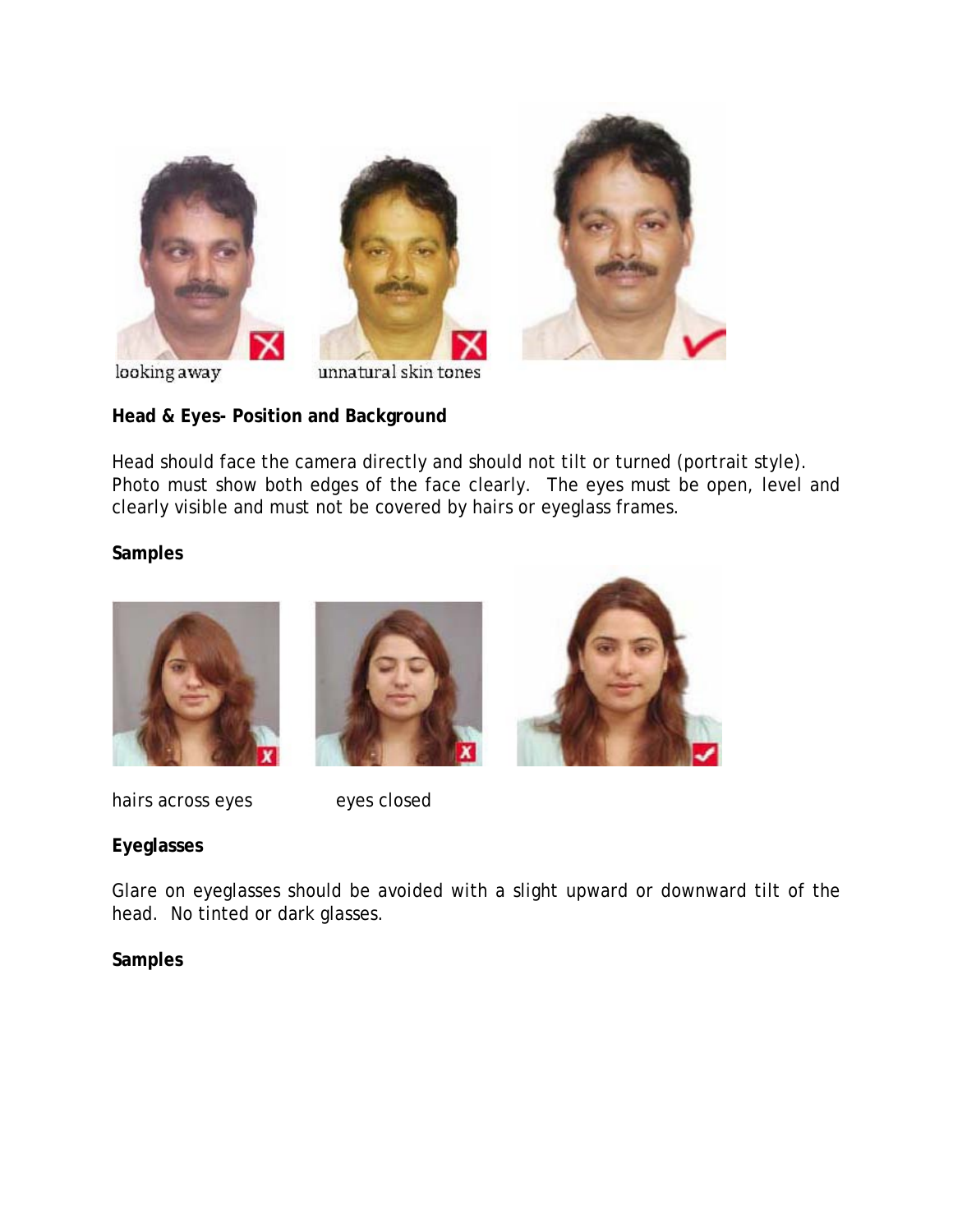





looking away

unnatural skin tones

# **Head & Eyes- Position and Background**

Head should face the camera directly and should not tilt or turned (portrait style). Photo must show both edges of the face clearly. The eyes must be open, level and clearly visible and must not be covered by hairs or eyeglass frames.

## **Samples**







hairs across eyes eyes closed

# **Eyeglasses**

Glare on eyeglasses should be avoided with a slight upward or downward tilt of the head. No tinted or dark glasses.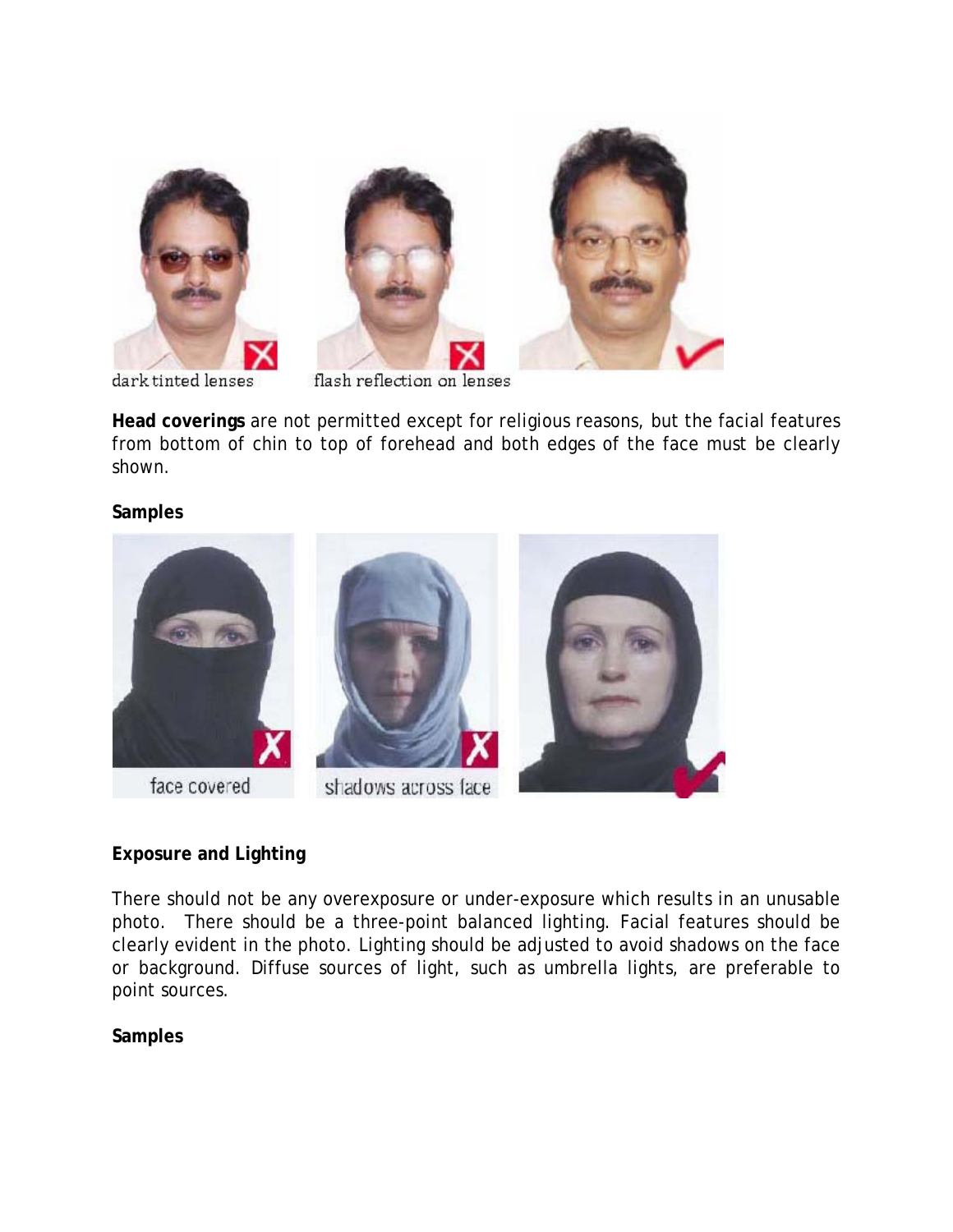



dark tinted lenses

flash reflection on lenses

**Head coverings** are not permitted except for religious reasons, but the facial features from bottom of chin to top of forehead and both edges of the face must be clearly shown.

### **Samples**



# **Exposure and Lighting**

There should not be any overexposure or under-exposure which results in an unusable photo. There should be a three-point balanced lighting. Facial features should be clearly evident in the photo. Lighting should be adjusted to avoid shadows on the face or background. Diffuse sources of light, such as umbrella lights, are preferable to point sources.